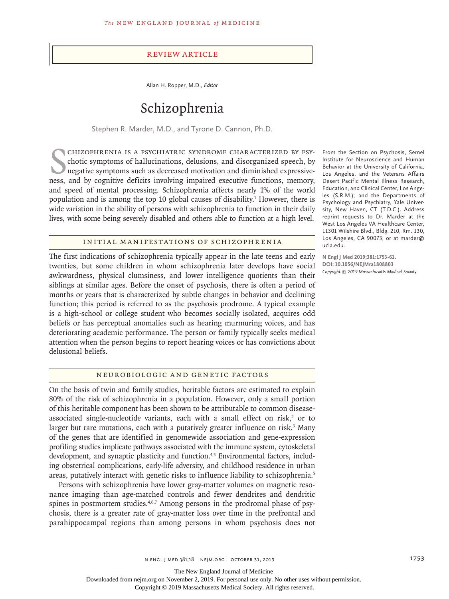#### Review Article

Allan H. Ropper, M.D., *Editor*

# Schizophrenia

Stephen R. Marder, M.D., and Tyrone D. Cannon, Ph.D.

CHIZOPHRENIA IS A PSYCHIATRIC SYNDROME CHARACTERIZED BY PSY-<br>chotic symptoms of hallucinations, delusions, and disorganized speech, by<br>negative symptoms such as decreased motivation and diminished expressive-<br>ness, and by chizophrenia is a psychiatric syndrome characterized by psychotic symptoms of hallucinations, delusions, and disorganized speech, by negative symptoms such as decreased motivation and diminished expressiveand speed of mental processing. Schizophrenia affects nearly 1% of the world population and is among the top 10 global causes of disability.1 However, there is wide variation in the ability of persons with schizophrenia to function in their daily lives, with some being severely disabled and others able to function at a high level.

# Initial Manifestations of Schizophrenia

The first indications of schizophrenia typically appear in the late teens and early twenties, but some children in whom schizophrenia later develops have social awkwardness, physical clumsiness, and lower intelligence quotients than their siblings at similar ages. Before the onset of psychosis, there is often a period of months or years that is characterized by subtle changes in behavior and declining function; this period is referred to as the psychosis prodrome. A typical example is a high-school or college student who becomes socially isolated, acquires odd beliefs or has perceptual anomalies such as hearing murmuring voices, and has deteriorating academic performance. The person or family typically seeks medical attention when the person begins to report hearing voices or has convictions about delusional beliefs.

#### Neurobiologic and Genetic Factors

On the basis of twin and family studies, heritable factors are estimated to explain 80% of the risk of schizophrenia in a population. However, only a small portion of this heritable component has been shown to be attributable to common diseaseassociated single-nucleotide variants, each with a small effect on risk, $2$  or to larger but rare mutations, each with a putatively greater influence on risk.<sup>3</sup> Many of the genes that are identified in genomewide association and gene-expression profiling studies implicate pathways associated with the immune system, cytoskeletal development, and synaptic plasticity and function.<sup>4,5</sup> Environmental factors, including obstetrical complications, early-life adversity, and childhood residence in urban areas, putatively interact with genetic risks to influence liability to schizophrenia.<sup>5</sup>

Persons with schizophrenia have lower gray-matter volumes on magnetic resonance imaging than age-matched controls and fewer dendrites and dendritic spines in postmortem studies.<sup>4,6,7</sup> Among persons in the prodromal phase of psychosis, there is a greater rate of gray-matter loss over time in the prefrontal and parahippocampal regions than among persons in whom psychosis does not

From the Section on Psychosis, Semel Institute for Neuroscience and Human Behavior at the University of California, Los Angeles, and the Veterans Affairs Desert Pacific Mental Illness Research, Education, and Clinical Center, Los Angeles (S.R.M.); and the Departments of Psychology and Psychiatry, Yale University, New Haven, CT (T.D.C.). Address reprint requests to Dr. Marder at the West Los Angeles VA Healthcare Center, 11301 Wilshire Blvd., Bldg. 210, Rm. 130, Los Angeles, CA 90073, or at marder@ ucla.edu.

**N Engl J Med 2019;381:1753-61. DOI: 10.1056/NEJMra1808803** *Copyright © 2019 Massachusetts Medical Society.*

The New England Journal of Medicine

Downloaded from nejm.org on November 2, 2019. For personal use only. No other uses without permission.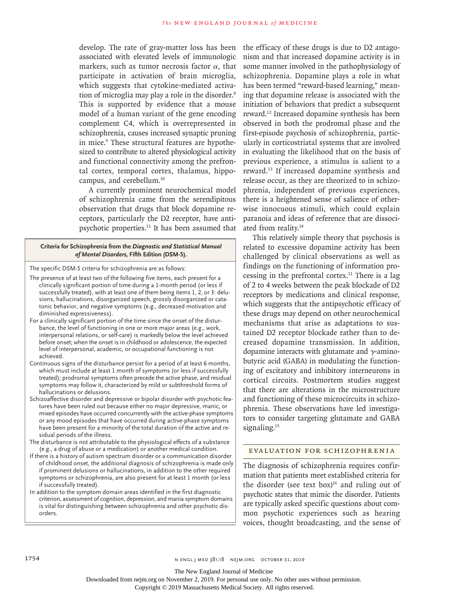develop. The rate of gray-matter loss has been associated with elevated levels of immunologic markers, such as tumor necrosis factor  $\alpha$ , that participate in activation of brain microglia, which suggests that cytokine-mediated activation of microglia may play a role in the disorder.<sup>8</sup> This is supported by evidence that a mouse model of a human variant of the gene encoding complement C4, which is overrepresented in schizophrenia, causes increased synaptic pruning in mice.<sup>9</sup> These structural features are hypothesized to contribute to altered physiological activity and functional connectivity among the prefrontal cortex, temporal cortex, thalamus, hippocampus, and cerebellum.10

A currently prominent neurochemical model of schizophrenia came from the serendipitous observation that drugs that block dopamine receptors, particularly the D2 receptor, have antipsychotic properties.11 It has been assumed that

# **Criteria for Schizophrenia from the** *Diagnostic and Statistical Manual of Mental Disorders,* **Fifth Edition (DSM-5).**

The specific DSM-5 criteria for schizophrenia are as follows:

- The presence of at least two of the following five items, each present for a clinically significant portion of time during a 1-month period (or less if successfully treated), with at least one of them being items 1, 2, or 3: delusions, hallucinations, disorganized speech, grossly disorganized or catatonic behavior, and negative symptoms (e.g., decreased motivation and diminished expressiveness).
- For a clinically significant portion of the time since the onset of the disturbance, the level of functioning in one or more major areas (e.g., work, interpersonal relations, or self-care) is markedly below the level achieved before onset; when the onset is in childhood or adolescence, the expected level of interpersonal, academic, or occupational functioning is not achieved.
- Continuous signs of the disturbance persist for a period of at least 6 months, which must include at least 1 month of symptoms (or less if successfully treated); prodromal symptoms often precede the active phase, and residual symptoms may follow it, characterized by mild or subthreshold forms of hallucinations or delusions.
- Schizoaffective disorder and depressive or bipolar disorder with psychotic features have been ruled out because either no major depressive, manic, or mixed episodes have occurred concurrently with the active-phase symptoms or any mood episodes that have occurred during active-phase symptoms have been present for a minority of the total duration of the active and residual periods of the illness.
- The disturbance is not attributable to the physiological effects of a substance (e.g., a drug of abuse or a medication) or another medical condition.
- If there is a history of autism spectrum disorder or a communication disorder of childhood onset, the additional diagnosis of schizophrenia is made only if prominent delusions or hallucinations, in addition to the other required symptoms or schizophrenia, are also present for at least 1 month (or less if successfully treated).
- In addition to the symptom domain areas identified in the first diagnostic criterion, assessment of cognition, depression, and mania symptom domains is vital for distinguishing between schizophrenia and other psychotic disorders.

the efficacy of these drugs is due to D2 antagonism and that increased dopamine activity is in some manner involved in the pathophysiology of schizophrenia. Dopamine plays a role in what has been termed "reward-based learning," meaning that dopamine release is associated with the initiation of behaviors that predict a subsequent reward.12 Increased dopamine synthesis has been observed in both the prodromal phase and the first-episode psychosis of schizophrenia, particularly in corticostriatal systems that are involved in evaluating the likelihood that on the basis of previous experience, a stimulus is salient to a reward.13 If increased dopamine synthesis and release occur, as they are theorized to in schizophrenia, independent of previous experiences, there is a heightened sense of salience of otherwise innocuous stimuli, which could explain paranoia and ideas of reference that are dissociated from reality.14

This relatively simple theory that psychosis is related to excessive dopamine activity has been challenged by clinical observations as well as findings on the functioning of information processing in the prefrontal cortex.11 There is a lag of 2 to 4 weeks between the peak blockade of D2 receptors by medications and clinical response, which suggests that the antipsychotic efficacy of these drugs may depend on other neurochemical mechanisms that arise as adaptations to sustained D2 receptor blockade rather than to decreased dopamine transmission. In addition, dopamine interacts with glutamate and  $γ$ -aminobutyric acid (GABA) in modulating the functioning of excitatory and inhibitory interneurons in cortical circuits. Postmortem studies suggest that there are alterations in the microstructure and functioning of these microcircuits in schizophrenia. These observations have led investigators to consider targeting glutamate and GABA signaling.<sup>15</sup>

## Evaluation for Schizophrenia

The diagnosis of schizophrenia requires confirmation that patients meet established criteria for the disorder (see text box) $16$  and ruling out of psychotic states that mimic the disorder. Patients are typically asked specific questions about common psychotic experiences such as hearing voices, thought broadcasting, and the sense of

The New England Journal of Medicine

Downloaded from nejm.org on November 2, 2019. For personal use only. No other uses without permission.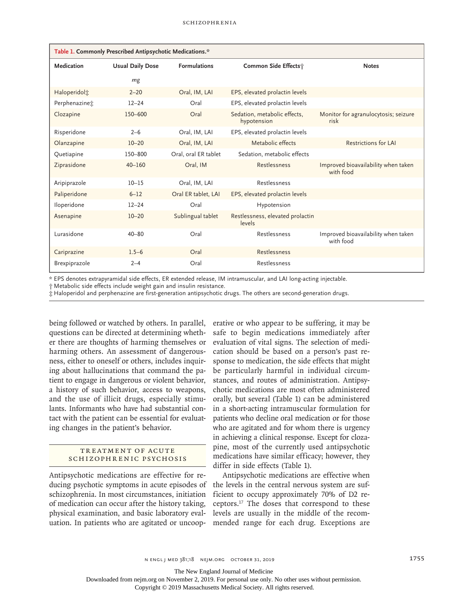| Table 1. Commonly Prescribed Antipsychotic Medications.* |                         |                      |                                             |                                                  |  |  |
|----------------------------------------------------------|-------------------------|----------------------|---------------------------------------------|--------------------------------------------------|--|--|
| Medication                                               | <b>Usual Daily Dose</b> | <b>Formulations</b>  | Common Side Effects;                        | <b>Notes</b>                                     |  |  |
|                                                          | mg                      |                      |                                             |                                                  |  |  |
| Haloperidol <sup>+</sup>                                 | $2 - 20$                | Oral, IM, LAI        | EPS, elevated prolactin levels              |                                                  |  |  |
| Perphenazinet                                            | $12 - 24$               | Oral                 | EPS, elevated prolactin levels              |                                                  |  |  |
| Clozapine                                                | 150-600                 | Oral                 | Sedation, metabolic effects,<br>hypotension | Monitor for agranulocytosis; seizure<br>risk     |  |  |
| Risperidone                                              | $2 - 6$                 | Oral, IM, LAI        | EPS, elevated prolactin levels              |                                                  |  |  |
| Olanzapine                                               | $10 - 20$               | Oral, IM, LAI        | Metabolic effects                           | <b>Restrictions for LAI</b>                      |  |  |
| Quetiapine                                               | 150-800                 | Oral, oral ER tablet | Sedation, metabolic effects                 |                                                  |  |  |
| Ziprasidone                                              | $40 - 160$              | Oral, IM             | Restlessness                                | Improved bioavailability when taken<br>with food |  |  |
| Aripiprazole                                             | $10 - 15$               | Oral, IM, LAI        | Restlessness                                |                                                  |  |  |
| Paliperidone                                             | $6 - 12$                | Oral ER tablet, LAI  | EPS, elevated prolactin levels              |                                                  |  |  |
| Iloperidone                                              | $12 - 24$               | Oral                 | Hypotension                                 |                                                  |  |  |
| Asenapine                                                | $10 - 20$               | Sublingual tablet    | Restlessness, elevated prolactin<br>levels  |                                                  |  |  |
| Lurasidone                                               | $40 - 80$               | Oral                 | Restlessness                                | Improved bioavailability when taken<br>with food |  |  |
| Cariprazine                                              | $1.5 - 6$               | Oral                 | Restlessness                                |                                                  |  |  |
| Brexpiprazole                                            | $2 - 4$                 | Oral                 | Restlessness                                |                                                  |  |  |

\* EPS denotes extrapyramidal side effects, ER extended release, IM intramuscular, and LAI long-acting injectable.

† Metabolic side effects include weight gain and insulin resistance.

‡ Haloperidol and perphenazine are first-generation antipsychotic drugs. The others are second-generation drugs.

being followed or watched by others. In parallel, questions can be directed at determining whether there are thoughts of harming themselves or harming others. An assessment of dangerousness, either to oneself or others, includes inquiring about hallucinations that command the patient to engage in dangerous or violent behavior, a history of such behavior, access to weapons, and the use of illicit drugs, especially stimulants. Informants who have had substantial contact with the patient can be essential for evaluating changes in the patient's behavior.

## TREATMENT OF ACUTE Schizophrenic Psychosis

Antipsychotic medications are effective for reducing psychotic symptoms in acute episodes of schizophrenia. In most circumstances, initiation of medication can occur after the history taking, physical examination, and basic laboratory evaluation. In patients who are agitated or uncoop-

erative or who appear to be suffering, it may be safe to begin medications immediately after evaluation of vital signs. The selection of medication should be based on a person's past response to medication, the side effects that might be particularly harmful in individual circumstances, and routes of administration. Antipsychotic medications are most often administered orally, but several (Table 1) can be administered in a short-acting intramuscular formulation for patients who decline oral medication or for those who are agitated and for whom there is urgency in achieving a clinical response. Except for clozapine, most of the currently used antipsychotic medications have similar efficacy; however, they differ in side effects (Table 1).

Antipsychotic medications are effective when the levels in the central nervous system are sufficient to occupy approximately 70% of D2 receptors.17 The doses that correspond to these levels are usually in the middle of the recommended range for each drug. Exceptions are

The New England Journal of Medicine

Downloaded from nejm.org on November 2, 2019. For personal use only. No other uses without permission.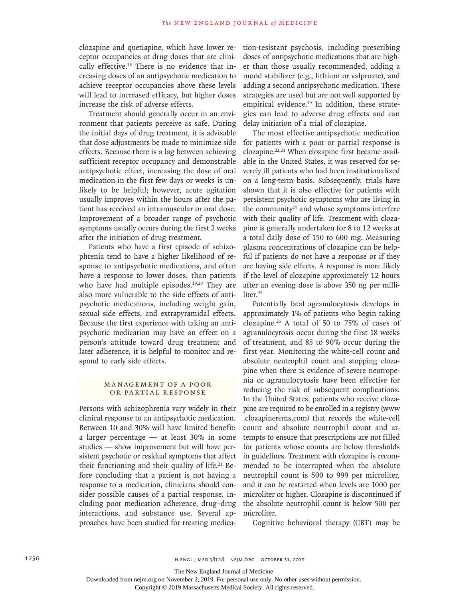clozapine and quetiapine, which have lower receptor occupancies at drug doses that are clinically effective.<sup>18</sup> There is no evidence that increasing doses of an antipsychotic medication to achieve receptor occupancies above these levels will lead to increased efficacy, but higher doses increase the risk of adverse effects.

Treatment should generally occur in an environment that patients perceive as safe. During the initial days of drug treatment, it is advisable that dose adjustments be made to minimize side effects. Because there is a lag between achieving sufficient receptor occupancy and demonstrable antipsychotic effect, increasing the dose of oral medication in the first few days or weeks is unlikely to be helpful; however, acute agitation usually improves within the hours after the patient has received an intramuscular or oral dose. Improvement of a broader range of psychotic symptoms usually occurs during the first 2 weeks after the initiation of drug treatment.

Patients who have a first episode of schizophrenia tend to have a higher likelihood of response to antipsychotic medications, and often have a response to lower doses, than patients who have had multiple episodes.<sup>19,20</sup> They are also more vulnerable to the side effects of antipsychotic medications, including weight gain, sexual side effects, and extrapyramidal effects. Because the first experience with taking an antipsychotic medication may have an effect on a person's attitude toward drug treatment and later adherence, it is helpful to monitor and respond to early side effects.

# MANAGEMENT OF A POOR or Partial Response

Persons with schizophrenia vary widely in their clinical response to an antipsychotic medication. Between 10 and 30% will have limited benefit; a larger percentage — at least 30% in some studies — show improvement but will have persistent psychotic or residual symptoms that affect their functioning and their quality of life.<sup>21</sup> Before concluding that a patient is not having a response to a medication, clinicians should consider possible causes of a partial response, including poor medication adherence, drug–drug interactions, and substance use. Several approaches have been studied for treating medication-resistant psychosis, including prescribing doses of antipsychotic medications that are higher than those usually recommended, adding a mood stabilizer (e.g., lithium or valproate), and adding a second antipsychotic medication. These strategies are used but are not well supported by empirical evidence.<sup>19</sup> In addition, these strategies can lead to adverse drug effects and can delay initiation of a trial of clozapine.

The most effective antipsychotic medication for patients with a poor or partial response is clozapine.22,23 When clozapine first became available in the United States, it was reserved for severely ill patients who had been institutionalized on a long-term basis. Subsequently, trials have shown that it is also effective for patients with persistent psychotic symptoms who are living in the community $24$  and whose symptoms interfere with their quality of life. Treatment with clozapine is generally undertaken for 8 to 12 weeks at a total daily dose of 150 to 600 mg. Measuring plasma concentrations of clozapine can be helpful if patients do not have a response or if they are having side effects. A response is more likely if the level of clozapine approximately 12 hours after an evening dose is above 350 ng per milliliter.<sup>25</sup>

Potentially fatal agranulocytosis develops in approximately 1% of patients who begin taking clozapine.26 A total of 50 to 75% of cases of agranulocytosis occur during the first 18 weeks of treatment, and 85 to 90% occur during the first year. Monitoring the white-cell count and absolute neutrophil count and stopping clozapine when there is evidence of severe neutropenia or agranulocytosis have been effective for reducing the risk of subsequent complications. In the United States, patients who receive clozapine are required to be enrolled in a registry (www .clozapinerems.com) that records the white-cell count and absolute neutrophil count and attempts to ensure that prescriptions are not filled for patients whose counts are below thresholds in guidelines. Treatment with clozapine is recommended to be interrupted when the absolute neutrophil count is 500 to 999 per microliter, and it can be restarted when levels are 1000 per microliter or higher. Clozapine is discontinued if the absolute neutrophil count is below 500 per microliter.

Cognitive behavioral therapy (CBT) may be

The New England Journal of Medicine

Downloaded from nejm.org on November 2, 2019. For personal use only. No other uses without permission.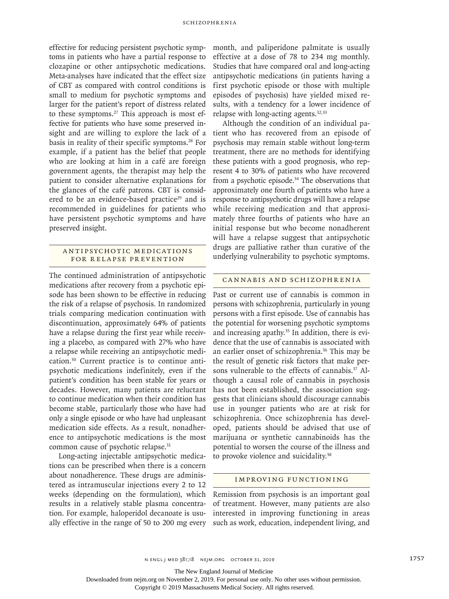effective for reducing persistent psychotic symptoms in patients who have a partial response to clozapine or other antipsychotic medications. Meta-analyses have indicated that the effect size of CBT as compared with control conditions is small to medium for psychotic symptoms and larger for the patient's report of distress related to these symptoms. $27$  This approach is most effective for patients who have some preserved insight and are willing to explore the lack of a basis in reality of their specific symptoms.<sup>28</sup> For example, if a patient has the belief that people who are looking at him in a café are foreign government agents, the therapist may help the patient to consider alternative explanations for the glances of the café patrons. CBT is considered to be an evidence-based practice<sup>29</sup> and is recommended in guidelines for patients who have persistent psychotic symptoms and have preserved insight.

# ANTIPSYCHOTIC MEDICATIONS for Relapse Prevention

The continued administration of antipsychotic medications after recovery from a psychotic episode has been shown to be effective in reducing the risk of a relapse of psychosis. In randomized trials comparing medication continuation with discontinuation, approximately 64% of patients have a relapse during the first year while receiving a placebo, as compared with 27% who have a relapse while receiving an antipsychotic medication.30 Current practice is to continue antipsychotic medications indefinitely, even if the patient's condition has been stable for years or decades. However, many patients are reluctant to continue medication when their condition has become stable, particularly those who have had only a single episode or who have had unpleasant medication side effects. As a result, nonadherence to antipsychotic medications is the most common cause of psychotic relapse.<sup>31</sup>

Long-acting injectable antipsychotic medications can be prescribed when there is a concern about nonadherence. These drugs are administered as intramuscular injections every 2 to 12 weeks (depending on the formulation), which results in a relatively stable plasma concentration. For example, haloperidol decanoate is usually effective in the range of 50 to 200 mg every month, and paliperidone palmitate is usually effective at a dose of 78 to 234 mg monthly. Studies that have compared oral and long-acting antipsychotic medications (in patients having a first psychotic episode or those with multiple episodes of psychosis) have yielded mixed results, with a tendency for a lower incidence of relapse with long-acting agents.<sup>32,33</sup>

Although the condition of an individual patient who has recovered from an episode of psychosis may remain stable without long-term treatment, there are no methods for identifying these patients with a good prognosis, who represent 4 to 30% of patients who have recovered from a psychotic episode.<sup>34</sup> The observations that approximately one fourth of patients who have a response to antipsychotic drugs will have a relapse while receiving medication and that approximately three fourths of patients who have an initial response but who become nonadherent will have a relapse suggest that antipsychotic drugs are palliative rather than curative of the underlying vulnerability to psychotic symptoms.

#### Cannabis and Schizophrenia

Past or current use of cannabis is common in persons with schizophrenia, particularly in young persons with a first episode. Use of cannabis has the potential for worsening psychotic symptoms and increasing apathy.<sup>35</sup> In addition, there is evidence that the use of cannabis is associated with an earlier onset of schizophrenia.36 This may be the result of genetic risk factors that make persons vulnerable to the effects of cannabis.<sup>37</sup> Although a causal role of cannabis in psychosis has not been established, the association suggests that clinicians should discourage cannabis use in younger patients who are at risk for schizophrenia. Once schizophrenia has developed, patients should be advised that use of marijuana or synthetic cannabinoids has the potential to worsen the course of the illness and to provoke violence and suicidality.<sup>38</sup>

#### Improving Functioning

Remission from psychosis is an important goal of treatment. However, many patients are also interested in improving functioning in areas such as work, education, independent living, and

The New England Journal of Medicine

Downloaded from nejm.org on November 2, 2019. For personal use only. No other uses without permission.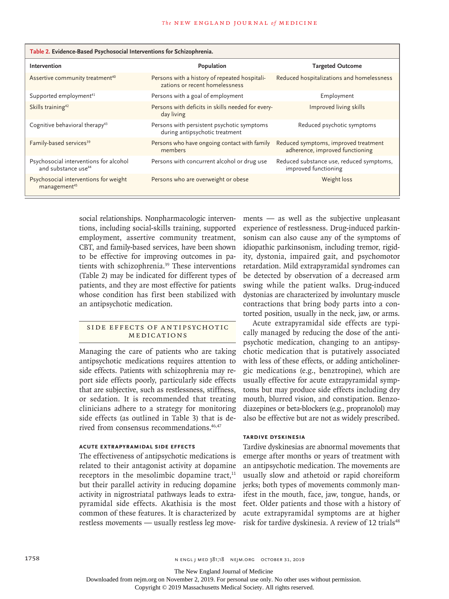| Table 2. Evidence-Based Psychosocial Interventions for Schizophrenia.     |                                                                                 |                                                                         |  |  |  |
|---------------------------------------------------------------------------|---------------------------------------------------------------------------------|-------------------------------------------------------------------------|--|--|--|
| Intervention                                                              | Population                                                                      | <b>Targeted Outcome</b>                                                 |  |  |  |
| Assertive community treatment <sup>40</sup>                               | Persons with a history of repeated hospitali-<br>zations or recent homelessness | Reduced hospitalizations and homelessness                               |  |  |  |
| Supported employment <sup>41</sup>                                        | Persons with a goal of employment                                               | Employment                                                              |  |  |  |
| Skills training <sup>42</sup>                                             | Persons with deficits in skills needed for every-<br>day living                 | Improved living skills                                                  |  |  |  |
| Cognitive behavioral therapy <sup>43</sup>                                | Persons with persistent psychotic symptoms<br>during antipsychotic treatment    | Reduced psychotic symptoms                                              |  |  |  |
| Family-based services <sup>39</sup>                                       | Persons who have ongoing contact with family<br>members                         | Reduced symptoms, improved treatment<br>adherence, improved functioning |  |  |  |
| Psychosocial interventions for alcohol<br>and substance use <sup>44</sup> | Persons with concurrent alcohol or drug use                                     | Reduced substance use, reduced symptoms,<br>improved functioning        |  |  |  |
| Psychosocial interventions for weight<br>management <sup>45</sup>         | Persons who are overweight or obese                                             | Weight loss                                                             |  |  |  |

social relationships. Nonpharmacologic interventions, including social-skills training, supported employment, assertive community treatment, CBT, and family-based services, have been shown to be effective for improving outcomes in patients with schizophrenia.<sup>39</sup> These interventions (Table 2) may be indicated for different types of patients, and they are most effective for patients whose condition has first been stabilized with an antipsychotic medication.

## SIDE EFFECTS OF ANTIPSYCHOTIC Medications

Managing the care of patients who are taking antipsychotic medications requires attention to side effects. Patients with schizophrenia may report side effects poorly, particularly side effects that are subjective, such as restlessness, stiffness, or sedation. It is recommended that treating clinicians adhere to a strategy for monitoring side effects (as outlined in Table 3) that is derived from consensus recommendations.<sup>46,47</sup>

# **Acute Extrapyramidal Side Effects**

The effectiveness of antipsychotic medications is related to their antagonist activity at dopamine receptors in the mesolimbic dopamine tract, $11$ but their parallel activity in reducing dopamine activity in nigrostriatal pathways leads to extrapyramidal side effects. Akathisia is the most common of these features. It is characterized by restless movements — usually restless leg movements — as well as the subjective unpleasant experience of restlessness. Drug-induced parkinsonism can also cause any of the symptoms of idiopathic parkinsonism, including tremor, rigidity, dystonia, impaired gait, and psychomotor retardation. Mild extrapyramidal syndromes can be detected by observation of a decreased arm swing while the patient walks. Drug-induced dystonias are characterized by involuntary muscle contractions that bring body parts into a contorted position, usually in the neck, jaw, or arms.

Acute extrapyramidal side effects are typically managed by reducing the dose of the antipsychotic medication, changing to an antipsychotic medication that is putatively associated with less of these effects, or adding anticholinergic medications (e.g., benztropine), which are usually effective for acute extrapyramidal symptoms but may produce side effects including dry mouth, blurred vision, and constipation. Benzodiazepines or beta-blockers (e.g., propranolol) may also be effective but are not as widely prescribed.

## **Tardive Dyskinesia**

Tardive dyskinesias are abnormal movements that emerge after months or years of treatment with an antipsychotic medication. The movements are usually slow and athetoid or rapid choreiform jerks; both types of movements commonly manifest in the mouth, face, jaw, tongue, hands, or feet. Older patients and those with a history of acute extrapyramidal symptoms are at higher risk for tardive dyskinesia. A review of 12 trials<sup>48</sup>

The New England Journal of Medicine

Downloaded from nejm.org on November 2, 2019. For personal use only. No other uses without permission.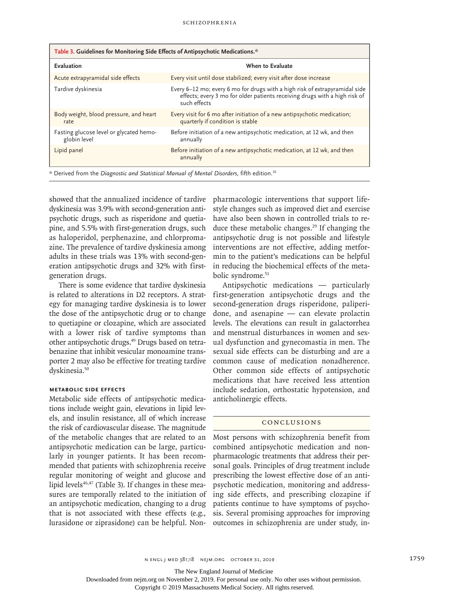| Table 3. Guidelines for Monitoring Side Effects of Antipsychotic Medications.*                         |                                                                                                                                                                           |  |  |  |
|--------------------------------------------------------------------------------------------------------|---------------------------------------------------------------------------------------------------------------------------------------------------------------------------|--|--|--|
| Evaluation                                                                                             | When to Evaluate                                                                                                                                                          |  |  |  |
| Acute extrapyramidal side effects                                                                      | Every visit until dose stabilized; every visit after dose increase                                                                                                        |  |  |  |
| Tardive dyskinesia                                                                                     | Every 6-12 mo; every 6 mo for drugs with a high risk of extrapyramidal side<br>effects; every 3 mo for older patients receiving drugs with a high risk of<br>such effects |  |  |  |
| Body weight, blood pressure, and heart<br>rate                                                         | Every visit for 6 mo after initiation of a new antipsychotic medication;<br>quarterly if condition is stable                                                              |  |  |  |
| Fasting glucose level or glycated hemo-<br>globin level                                                | Before initiation of a new antipsychotic medication, at 12 wk, and then<br>annually                                                                                       |  |  |  |
| Lipid panel                                                                                            | Before initiation of a new antipsychotic medication, at 12 wk, and then<br>annually                                                                                       |  |  |  |
| * Derived from the Diagnostic and Statistical Manual of Mental Disorders, fifth edition. <sup>16</sup> |                                                                                                                                                                           |  |  |  |

showed that the annualized incidence of tardive dyskinesia was 3.9% with second-generation antipsychotic drugs, such as risperidone and quetiapine, and 5.5% with first-generation drugs, such as haloperidol, perphenazine, and chlorpromazine. The prevalence of tardive dyskinesia among adults in these trials was 13% with second-generation antipsychotic drugs and 32% with firstgeneration drugs.

There is some evidence that tardive dyskinesia is related to alterations in D2 receptors. A strategy for managing tardive dyskinesia is to lower the dose of the antipsychotic drug or to change to quetiapine or clozapine, which are associated with a lower risk of tardive symptoms than other antipsychotic drugs.49 Drugs based on tetrabenazine that inhibit vesicular monoamine transporter 2 may also be effective for treating tardive dyskinesia.<sup>50</sup>

#### **Metabolic Side Effects**

Metabolic side effects of antipsychotic medications include weight gain, elevations in lipid levels, and insulin resistance, all of which increase the risk of cardiovascular disease. The magnitude of the metabolic changes that are related to an antipsychotic medication can be large, particularly in younger patients. It has been recommended that patients with schizophrenia receive regular monitoring of weight and glucose and lipid levels<sup>46,47</sup> (Table 3). If changes in these measures are temporally related to the initiation of an antipsychotic medication, changing to a drug that is not associated with these effects (e.g., lurasidone or ziprasidone) can be helpful. Non-

pharmacologic interventions that support lifestyle changes such as improved diet and exercise have also been shown in controlled trials to reduce these metabolic changes.<sup>29</sup> If changing the antipsychotic drug is not possible and lifestyle interventions are not effective, adding metformin to the patient's medications can be helpful in reducing the biochemical effects of the metabolic syndrome.<sup>51</sup>

Antipsychotic medications — particularly first-generation antipsychotic drugs and the second-generation drugs risperidone, paliperidone, and asenapine — can elevate prolactin levels. The elevations can result in galactorrhea and menstrual disturbances in women and sexual dysfunction and gynecomastia in men. The sexual side effects can be disturbing and are a common cause of medication nonadherence. Other common side effects of antipsychotic medications that have received less attention include sedation, orthostatic hypotension, and anticholinergic effects.

#### Conclusions

Most persons with schizophrenia benefit from combined antipsychotic medication and nonpharmacologic treatments that address their personal goals. Principles of drug treatment include prescribing the lowest effective dose of an antipsychotic medication, monitoring and addressing side effects, and prescribing clozapine if patients continue to have symptoms of psychosis. Several promising approaches for improving outcomes in schizophrenia are under study, in-

The New England Journal of Medicine

Downloaded from nejm.org on November 2, 2019. For personal use only. No other uses without permission.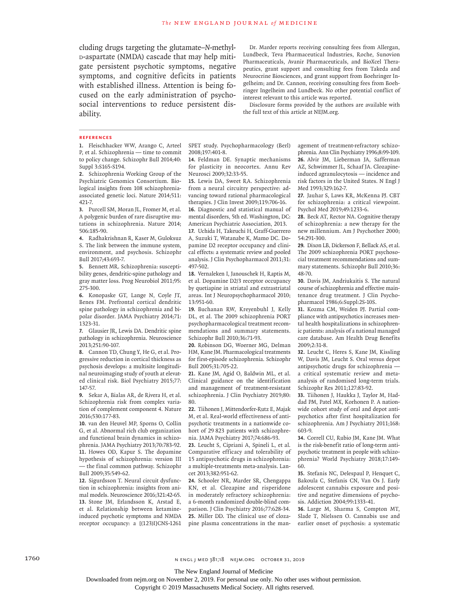cluding drugs targeting the glutamate–*N*-methyld-aspartate (NMDA) cascade that may help mitigate persistent psychotic symptoms, negative symptoms, and cognitive deficits in patients with established illness. Attention is being focused on the early administration of psychosocial interventions to reduce persistent disability.

Dr. Marder reports receiving consulting fees from Allergan, Lundbeck, Teva Pharmaceutical Industries, Roche, Sunovion Pharmaceuticals, Avanir Pharmaceuticals, and BioXcel Therapeutics, grant support and consulting fees from Takeda and Neurocrine Biosciences, and grant support from Boehringer Ingelheim; and Dr. Cannon, receiving consulting fees from Boehringer Ingelheim and Lundbeck. No other potential conflict of interest relevant to this article was reported.

Disclosure forms provided by the authors are available with the full text of this article at NEJM.org.

#### **References**

**1.** Fleischhacker WW, Arango C, Arteel P, et al. Schizophrenia — time to commit to policy change. Schizophr Bull 2014;40: Suppl 3:S165-S194.

**2.** Schizophrenia Working Group of the Psychiatric Genomics Consortium. Biological insights from 108 schizophreniaassociated genetic loci. Nature 2014;511: 421-7.

**3.** Purcell SM, Moran JL, Fromer M, et al. A polygenic burden of rare disruptive mutations in schizophrenia. Nature 2014; 506:185-90.

**4.** Radhakrishnan R, Kaser M, Guloksuz S. The link between the immune system, environment, and psychosis. Schizophr Bull 2017;43:693-7.

**5.** Bennett MR. Schizophrenia: susceptibility genes, dendritic-spine pathology and gray matter loss. Prog Neurobiol 2011;95: 275-300.

**6.** Konopaske GT, Lange N, Coyle JT, Benes FM. Prefrontal cortical dendritic spine pathology in schizophrenia and bipolar disorder. JAMA Psychiatry 2014;71: 1323-31.

**7.** Glausier JR, Lewis DA. Dendritic spine pathology in schizophrenia. Neuroscience 2013;251:90-107.

**8.** Cannon TD, Chung Y, He G, et al. Progressive reduction in cortical thickness as psychosis develops: a multisite longitudinal neuroimaging study of youth at elevated clinical risk. Biol Psychiatry 2015;77: 147-57.

**9.** Sekar A, Bialas AR, de Rivera H, et al. Schizophrenia risk from complex variation of complement component 4. Nature 2016;530:177-83.

**10.** van den Heuvel MP, Sporns O, Collin G, et al. Abnormal rich club organization and functional brain dynamics in schizophrenia. JAMA Psychiatry 2013;70:783-92. **11.** Howes OD, Kapur S. The dopamine hypothesis of schizophrenia: version III — the final common pathway. Schizophr Bull 2009;35:549-62.

**12.** Sigurdsson T. Neural circuit dysfunction in schizophrenia: insights from animal models. Neuroscience 2016;321:42-65. **13.** Stone JM, Erlandsson K, Arstad E, et al. Relationship between ketamineinduced psychotic symptoms and NMDA receptor occupancy: a [(123)I]CNS-1261

SPET study. Psychopharmacology (Berl) 2008;197:401-8.

**14.** Feldman DE. Synaptic mechanisms for plasticity in neocortex. Annu Rev Neurosci 2009;32:33-55.

**15.** Lewis DA, Sweet RA. Schizophrenia from a neural circuitry perspective: advancing toward rational pharmacological therapies. J Clin Invest 2009;119:706-16.

**16.** Diagnostic and statistical manual of mental disorders, 5th ed. Washington, DC: American Psychiatric Association, 2013. **17.** Uchida H, Takeuchi H, Graff-Guerrero

A, Suzuki T, Watanabe K, Mamo DC. Dopamine D2 receptor occupancy and clinical effects: a systematic review and pooled analysis. J Clin Psychopharmacol 2011;31: 497-502.

**18.** Vernaleken I, Janouschek H, Raptis M, et al. Dopamine D2/3 receptor occupancy by quetiapine in striatal and extrastriatal areas. Int J Neuropsychopharmacol 2010; 13:951-60.

**19.** Buchanan RW, Kreyenbuhl J, Kelly DL, et al. The 2009 schizophrenia PORT psychopharmacological treatment recommendations and summary statements. Schizophr Bull 2010;36:71-93.

**20.** Robinson DG, Woerner MG, Delman HM, Kane JM. Pharmacological treatments for first-episode schizophrenia. Schizophr Bull 2005;31:705-22.

**21.** Kane JM, Agid O, Baldwin ML, et al. Clinical guidance on the identification and management of treatment-resistant schizophrenia. J Clin Psychiatry 2019;80: 80.

**22.** Tiihonen J, Mittendorfer-Rutz E, Majak M, et al. Real-world effectiveness of antipsychotic treatments in a nationwide cohort of 29 823 patients with schizophrenia. JAMA Psychiatry 2017;74:686-93.

**23.** Leucht S, Cipriani A, Spineli L, et al. Comparative efficacy and tolerability of 15 antipsychotic drugs in schizophrenia: a multiple-treatments meta-analysis. Lancet 2013;382:951-62.

**24.** Schooler NR, Marder SR, Chengappa KN, et al. Clozapine and risperidone in moderately refractory schizophrenia: a 6-month randomized double-blind comparison. J Clin Psychiatry 2016;77:628-34. **25.** Miller DD. The clinical use of clozapine plasma concentrations in the management of treatment-refractory schizophrenia. Ann Clin Psychiatry 1996;8:99-109. **26.** Alvir JM, Lieberman JA, Safferman AZ, Schwimmer JL, Schaaf JA. Clozapineinduced agranulocytosis — incidence and risk factors in the United States. N Engl J Med 1993;329:162-7.

**27.** Jauhar S, Laws KR, McKenna PJ. CBT for schizophrenia: a critical viewpoint. Psychol Med 2019;49:1233-6.

**28.** Beck AT, Rector NA. Cognitive therapy of schizophrenia: a new therapy for the new millennium. Am J Psychother 2000; 54:291-300.

**29.** Dixon LB, Dickerson F, Bellack AS, et al. The 2009 schizophrenia PORT psychosocial treatment recommendations and summary statements. Schizophr Bull 2010;36: 48-70.

**30.** Davis JM, Andriukaitis S. The natural course of schizophrenia and effective maintenance drug treatment. J Clin Psychopharmacol 1986;6:Suppl:2S-10S.

**31.** Kozma CM, Weiden PJ. Partial compliance with antipsychotics increases mental health hospitalizations in schizophrenic patients: analysis of a national managed care database. Am Health Drug Benefits 2009;2:31-8.

**32.** Leucht C, Heres S, Kane JM, Kissling W, Davis JM, Leucht S. Oral versus depot antipsychotic drugs for schizophrenia a critical systematic review and metaanalysis of randomised long-term trials. Schizophr Res 2011;127:83-92.

**33.** Tiihonen J, Haukka J, Taylor M, Haddad PM, Patel MX, Korhonen P. A nationwide cohort study of oral and depot antipsychotics after first hospitalization for schizophrenia. Am J Psychiatry 2011;168: 603-9.

**34.** Correll CU, Rubio JM, Kane JM. What is the risk-benefit ratio of long-term antipsychotic treatment in people with schizophrenia? World Psychiatry 2018;17:149- 60.

**35.** Stefanis NC, Delespaul P, Henquet C, Bakoula C, Stefanis CN, Van Os J. Early adolescent cannabis exposure and positive and negative dimensions of psychosis. Addiction 2004;99:1333-41.

**36.** Large M, Sharma S, Compton MT, Slade T, Nielssen O. Cannabis use and earlier onset of psychosis: a systematic

1760 n engl j med 381;18 nejm.org October 31, 2019

The New England Journal of Medicine

Downloaded from nejm.org on November 2, 2019. For personal use only. No other uses without permission.